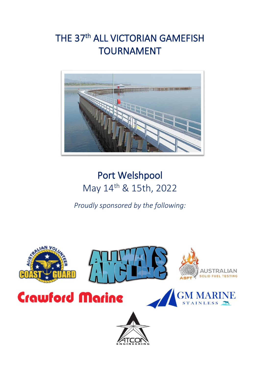# THE 37<sup>th</sup> ALL VICTORIAN GAMEFISH TOURNAMENT



# Port Welshpool May 14th & 15th, 2022

*Proudly sponsored by the following:*

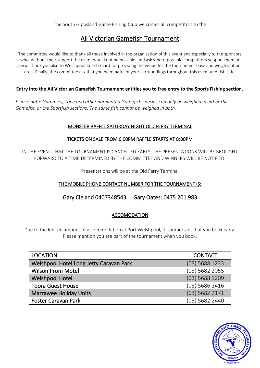# All Victorian Gamefish Tournament

The committee would like to thank all those involved in the organisation of this event and especially to the sponsors who, without their support the event would not be possible, and ask where possible competitors support them. A special thank you also to Welshpool Coast Guard for providing the venue for the tournament base and weigh station area. Finally, the committee ask that you be mindful of your surroundings throughout this event and fish safe.

# **Entry into the All Victorian Gamefish Tournament entitles you to free entry to the Sports Fishing section.**

*Please note: Gummies, Tope and other nominated Gamefish species can only be weighed in either the Gamefish or the Sportfish sections. The same fish cannot be weighed in both.*

# MONSTER RAFFLE SATURDAY NIGHT OLD FERRY TERMINAL

# TICKETS ON SALE FROM 6:00PM RAFFLE STARTS AT 8:00PM

IN THE EVENT THAT THE TOURNAMENT IS CANCELLED EARLY, THE PRESENTATIONS WILL BE BROUGHT FORWARD TO A TIME DETERMINED BY THE COMMITTEE AND WINNERS WILL BE NOTIFIED.

Presentations will be at the Old Ferry Terminal

# THE MOBILE PHONE CONTACT NUMBER FOR THE TOURNAMENT IS:

# Gary Cleland 0407348543 Gary Oates: 0475 201 983

# ACCOMODATION

Due to the limited amount of accommodation at Port Welshpool, it is important that you book early. Please mention you are part of the tournament when you book.

| <b>LOCATION</b>                         | <b>CONTACT</b>   |
|-----------------------------------------|------------------|
| Welshpool Hotel Long Jetty Caravan Park | $(03)$ 5688 1233 |
| <b>Wilson Prom Motel</b>                | $(03)$ 5682 2055 |
| <b>Welshpool Hotel</b>                  | (03) 5688 1209   |
| <b>Toora Guest House</b>                | (03) 5686 2416   |
| <b>Marrawee Holiday Units</b>           | (03) 5682 2171   |
| <b>Foster Caravan Park</b>              | (03) 5682 2440   |

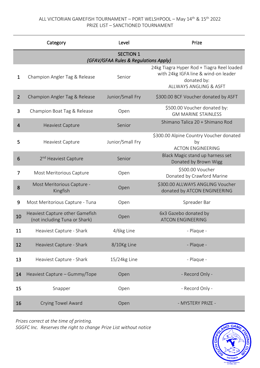# ALL VICTORIAN GAMEFISH TOURNAMENT – PORT WELSHPOOL – May 14th & 15th 2022 PRIZE LIST – SANCTIONED TOURNAMENT

|                | Category                                                         | Level            | Prize                                                                                                                       |  |  |
|----------------|------------------------------------------------------------------|------------------|-----------------------------------------------------------------------------------------------------------------------------|--|--|
|                | <b>SECTION 1</b><br>(GFAV/GFAA Rules & Regulations Apply)        |                  |                                                                                                                             |  |  |
| $\mathbf{1}$   | Champion Angler Tag & Release                                    | Senior           | 24kg Tiagra Hyper Rod + Tiagra Reel loaded<br>with 24kg IGFA line & wind-on leader<br>donated by:<br>ALLWAYS ANGLING & ASFT |  |  |
| $\overline{2}$ | Champion Angler Tag & Release                                    | Junior/Small Fry | \$300.00 BCF Voucher donated by ASFT                                                                                        |  |  |
| 3              | Champion Boat Tag & Release                                      | Open             | \$500.00 Voucher donated by:<br><b>GM MARINE STAINLESS</b>                                                                  |  |  |
| 4              | <b>Heaviest Capture</b>                                          | Senior           | Shimano Talica 20 + Shimano Rod                                                                                             |  |  |
| 5              | Heaviest Capture                                                 | Junior/Small Fry | \$300.00 Alpine Country Voucher donated<br>by<br><b>ACTON ENGINEERING</b>                                                   |  |  |
| 6              | 2 <sup>nd</sup> Heaviest Capture                                 | Senior           | Black Magic stand up harness set<br>Donated by Brown Wigg                                                                   |  |  |
| 7              | Most Meritorious Capture                                         | Open             | \$500.00 Voucher<br>Donated by Crawford Marine                                                                              |  |  |
| 8              | Most Meritorious Capture -<br>Kingfish                           | Open             | \$300.00 ALLWAYS ANGLING Voucher<br>donated by ATCON ENGINEERING                                                            |  |  |
| 9              | Most Meritorious Capture - Tuna                                  | Open             | Spreader Bar                                                                                                                |  |  |
| 10             | Heaviest Capture other Gamefish<br>(not including Tuna or Shark) | Open             | 6x3 Gazebo donated by<br><b>ATCON ENGINEERING</b>                                                                           |  |  |
| 11             | Heaviest Capture - Shark                                         | 4/6kg Line       | - Plaque -                                                                                                                  |  |  |
| 12             | Heaviest Capture - Shark                                         | 8/10Kg Line      | - Plaque -                                                                                                                  |  |  |
| 13             | Heaviest Capture - Shark                                         | 15/24kg Line     | - Plaque -                                                                                                                  |  |  |
| 14             | Heaviest Capture - Gummy/Tope                                    | Open             | - Record Only -                                                                                                             |  |  |
| 15             | Snapper                                                          | Open             | - Record Only -                                                                                                             |  |  |
| 16             | Crying Towel Award                                               | Open             | - MYSTERY PRIZE -                                                                                                           |  |  |

*Prizes correct at the time of printing. SGGFC Inc. Reserves the right to change Prize List without notice* 

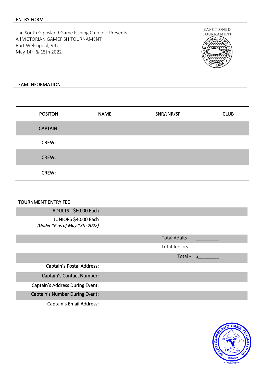### ENTRY FORM

The South Gippsland Game Fishing Club Inc. Presents: All VICTORIAN GAMEFISH TOURNAMENT Port Welshpool, VIC May 14th & 15th 2022



### TEAM INFORMATION

| <b>POSITON</b>  | <b>NAME</b> | SNR/JNR/SF | <b>CLUB</b> |
|-----------------|-------------|------------|-------------|
| <b>CAPTAIN:</b> |             |            |             |
| CREW:           |             |            |             |
| CREW:           |             |            |             |
| CREW:           |             |            |             |

### TOURNMENT ENTRY FEE

ADULTS - \$60.00 Each

JUNIORS \$40.00 Each *(Under 16 as of May 13th 2022)*

Total Adults - Total Juniors - \_\_\_\_\_\_\_\_\_ Total - \$\_\_\_\_\_\_\_\_ Captain's Postal Address: Captain's Contact Number: Captain's Address During Event: Captain's Number During Event: Captain's Email Address:

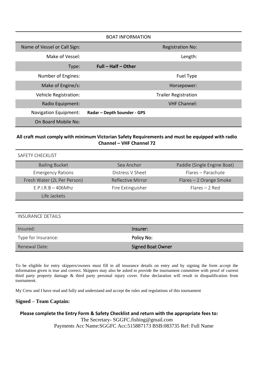| <b>BOAT INFORMATION</b>      |                             |  |
|------------------------------|-----------------------------|--|
| Name of Vessel or Call Sign: | <b>Registration No:</b>     |  |
| Make of Vessel:              | Length:                     |  |
| Type:                        | Full - Half - Other         |  |
| Number of Engines:           | Fuel Type                   |  |
| Make of Engine/s:            | Horsepower:                 |  |
| Vehicle Registration:        | <b>Trailer Registration</b> |  |
| Radio Equipment:             | <b>VHF Channel:</b>         |  |
| <b>Navigation Equipment:</b> | Radar - Depth Sounder - GPS |  |
| On Board Mobile No:          |                             |  |

# **All craft must comply with minimum Victorian Safety Requirements and must be equipped with radio Channel – VHF Channel 72**

SAFETY CHECKLIST

| <b>Bailing Bucket</b>       | Sea Anchor        | Paddle (Single Engine Boat) |
|-----------------------------|-------------------|-----------------------------|
| <b>Emergency Rations</b>    | Distress V Sheet  | Flares - Parachute          |
| Fresh Water (2L Per Person) | Reflective Mirror | Flares - 2 Orange Smoke     |
| $E.P.I.R.B - 406Mhz$        | Fire Extinguisher | $Flares - 2 Red$            |
| Life Jackets                |                   |                             |

INSURANCE DETAILS

| Insured:            | lnsurer:                 |
|---------------------|--------------------------|
| Type for Insurance: | Policy No:               |
| Renewal Date:       | <b>Signed Boat Owner</b> |

To be eligible for entry skippers/owners must fill in all insurance details on entry and by signing the form accept the information given is true and correct. Skippers may also be asked to provide the tournament committee with proof of current third party property damage & third party personal injury cover. False declaration will result in disqualification from tournament.

My Crew and I have read and fully and understand and accept the rules and regulations of this tournament

# **Signed – Team Captain:**

### **Please complete the Entry Form & Safety Checklist and return with the appropriate fees to:** The Secretary- SGGFC.fishing@gmail.com Payments Acc Name:SGGFC Acc:515887173 BSB:083735 Ref: Full Name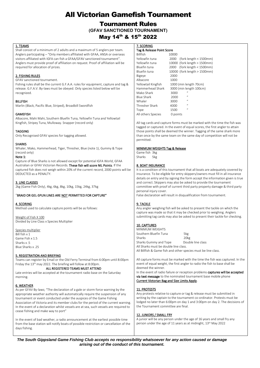# All Victorian Gamefish Tournament

# Tournament Rules **(GFAV SANCTIONED TOURNAMENT)** May 14<sup>th</sup> & 15<sup>th</sup> 2022

#### 1. TEAMS

Shall consist of a minimum of 2 adults and a maximum of 5 anglers per team. Anglers participating – "Only members affiliated with GFAA, ANSA or overseas visitors affiliated with IGFA can fish a GFAA/GFAV sanctioned tournament". Anglers must provide proof of affiliation on request. Proof of affiliation will be required for allocation of prizes.

#### 2. FISHING RULES

GFAV sanctioned tournament.

Fishing rules shall be the current G.F.A.A. rules for equipment, capture and tag & release. G.F.A.V. By-laws must be obeyed. Only species listed below will be recognized.

#### **BILLFISH**

Marlin (Black, Pacific Blue, Striped), Broadbill Swordfish

#### **GAMEFISH**

Albacore, Mahi Mahi, Southern Bluefin Tuna, Yellowfin Tuna and Yellowtail Kingfish, Stripey Tuna, Mulloway. Snapper (record only)

#### TAGGING

Only Recognised GFAV species for tagging allowed.

#### **SHARKS**

Whaler, Mako, Hammerhead, Tiger, Thresher, Blue (note 1), Gummy & Tope (record only)

#### Note 1:

Capture of Blue Sharks is not allowed except for potential IGFA World, GFAA Australian or GFAV Victorian Records. These fish will score NIL Points. If the captured fish does not weigh within 20% of the current record, 2000 points will be DEDUCTED as a PENALTY.

#### 3. LINE CLASSES

2kg (Game Fish Only), 4kg, 6kg, 8kg, 10kg, 15kg, 24kg, 37kg

#### "BRAID OR GEL-SPUN LINES ARE NOT PERMITTED FOR CAPTURE"

#### 4. SCORING

Method used to calculate capture points will be as follows:

Weight of Fish X 100 Divided by Line Class x Species Multiplier

Species multiplier Bill fish x 1 Game Fish x 1.5 Sharks x 5 Blue Sharks x .25

#### 5. REGISTRATION AND BRIEFING

Teams can register by Email or the Old Ferry Terminal from 6:00pm until 8:00pm Friday the 13th may 2022. The briefing will follow at 8:00pm.

#### ALL REGISTERED TEAMS MUST ATTEND

Late entries will be accepted at the tournament radio base on the Saturday morning.

#### 6. WEATHER

As per GFAV By-laws; "The declaration of a gale or storm force warning by the appropriate weather authority will automatically require the suspension of any tournament or event conducted under the auspices of the Game Fishing Association of Victoria and its member clubs for the period of the current warning. In the event of a declaration whilst vessels are at sea, such vessels are required to cease fishing and make way to port"

In the event of bad weather, a radio announcement at the earliest possible time from the base station will notify boats of possible restriction or cancellation of the days fishing.

#### 7. SCORING

#### Tag & Release Point Score

| <b>Billfish</b>     | 10000                            |  |
|---------------------|----------------------------------|--|
| Yellowfin tuna      | (fork length $<$ 1500mm)<br>2000 |  |
| Yellowfin tuna      | 10000 (fork length > 1500mm)     |  |
| Bluefin tuna        | (fork length $<$ 1500mm)<br>2000 |  |
| Bluefin tuna        | 10000 (fork length > 1500mm)     |  |
| Bigeye              | 2000                             |  |
| Albacore            | 1000                             |  |
| Yellowtail Kingfish | 1000 (min length 70cm)           |  |
| Hammerhead Shark    | 3000 (min length 100cm)          |  |
| Mako Shark          | $\mathbf{u}$<br>3000             |  |
| <b>Blue Shark</b>   | $\mathbf{u}$<br>2000             |  |
| Whaler              | $\mu$<br>3000                    |  |
| Thresher Shark      | $\mathbf{u}$<br>4000             |  |
| Tope                | $\mathbf{u}$<br>1500             |  |
| All others Species  | 0 points                         |  |

All tag cards and capture forms must be marked with the time the fish was tagged or captured. In the event of equal scores, the first angler to attain those points shall be deemed the winner. Tagging of the same shark more than once by the same team on the same day of competition will not be permitted.

#### MINIMUM WEIGHTS Tag & Release

Game fish 3kg Sharks 5kg

#### 8. BOAT INSURANCE

It is a condition of this tournament that all boats are adequately covered by insurance. To be eligible for entry skippers/owners must fill in all insurance details on entry and by signing the form accept the information given is true and correct. Skippers may also be asked to provide the tournament committee with proof of current third party property damage & third party personal injury cover.

False declaration will result in disqualification from tournament.

#### 9. TACKLE

Any angler weighing fish will be asked to present the tackle on which the capture was made so that it may be checked prior to weighing. Anglers submitting tag cards may also be asked to present their tackle for checking.

#### 10. CAPTURES

MINIMUM WEIGHTS Southern Bluefin Tuna 5kg Sharks 20kg Sharks Gummy and Tope Double line class All Sharks must be double line class. All Billfish & Game fish and other species must be line class.

All capture forms must be marked with the time the fish was captured. In the event of equal weight, the first angler to radio the fish to base shall be deemed the winner.

In the event of radio failure or reception problems captures will be accepted via text message to the nominated tournament base mobile phone Current Victorian Bag and Size Limits Apply.

#### 11. PROTESTS

Any protests relative to capture or tag & release must be submitted in writing by the captain to the tournament co-ordinator. Protests must be lodged no later than 6:00pm on day 1 and 3:00pm on day 2. The decisions of the Tournament committee are final.

#### 12. JUNIORS / SMALL FRY

A junior will be any person under the age of 16 years and small fry any person under the age of 11 years as at midnight, 13th May 2022

*The South Gippsland Game Fishing Club accepts no responsibility whatsoever for any action caused or damage arising out of the conduct of this tournament.*